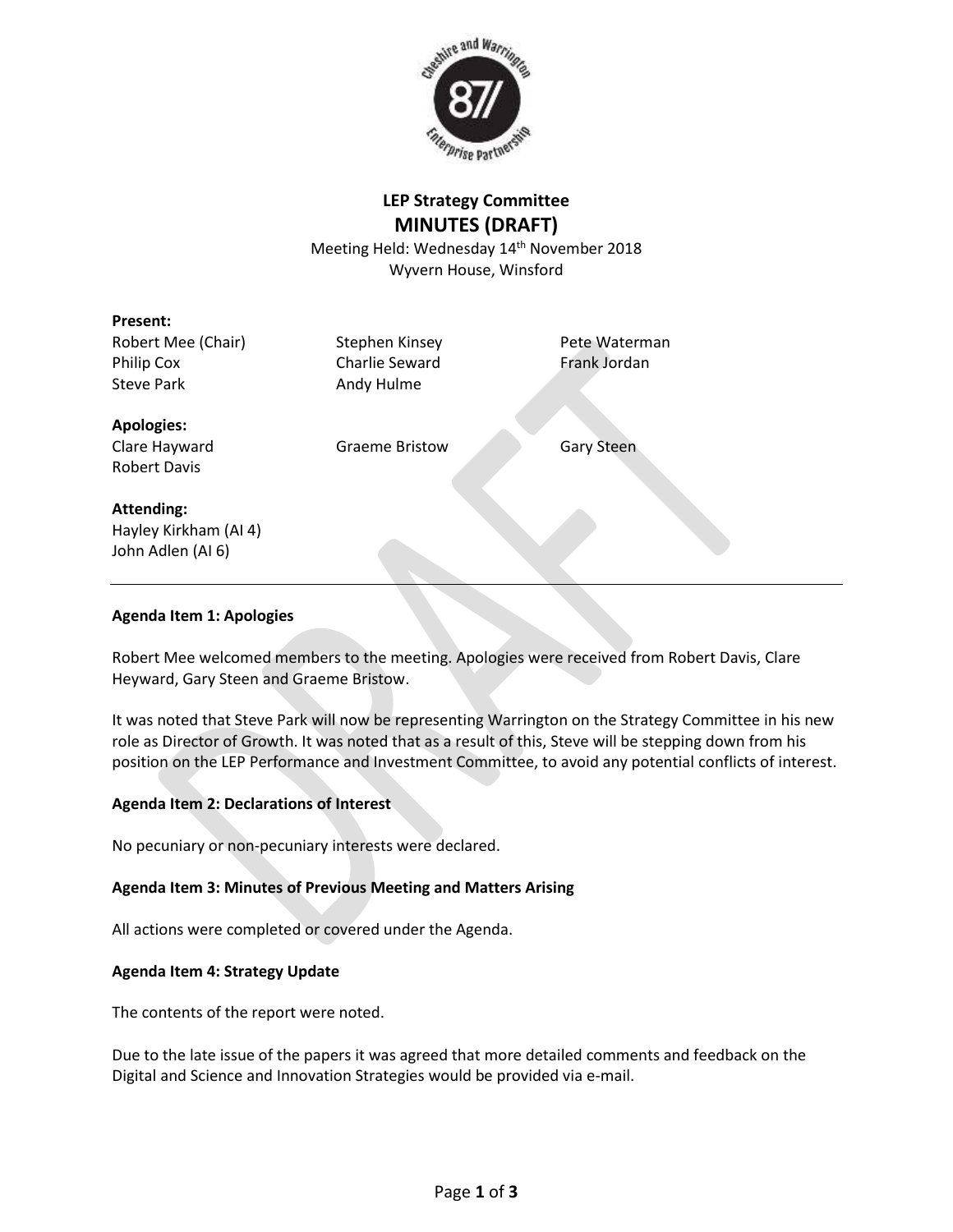

# **LEP Strategy Committee MINUTES (DRAFT)**

Meeting Held: Wednesday 14<sup>th</sup> November 2018 Wyvern House, Winsford

## **Present:**

Robert Mee (Chair) Stephen Kinsey Pete Waterman Philip Cox Charlie Seward Frank Jordan Steve Park **Andy Hulme** 

## **Apologies:**

Clare Hayward Graeme Bristow Gary Steen

Robert Davis

## **Attending:**

Hayley Kirkham (AI 4) John Adlen (AI 6)

## **Agenda Item 1: Apologies**

Robert Mee welcomed members to the meeting. Apologies were received from Robert Davis, Clare Heyward, Gary Steen and Graeme Bristow.

It was noted that Steve Park will now be representing Warrington on the Strategy Committee in his new role as Director of Growth. It was noted that as a result of this, Steve will be stepping down from his position on the LEP Performance and Investment Committee, to avoid any potential conflicts of interest.

## **Agenda Item 2: Declarations of Interest**

No pecuniary or non-pecuniary interests were declared.

### **Agenda Item 3: Minutes of Previous Meeting and Matters Arising**

All actions were completed or covered under the Agenda.

### **Agenda Item 4: Strategy Update**

The contents of the report were noted.

Due to the late issue of the papers it was agreed that more detailed comments and feedback on the Digital and Science and Innovation Strategies would be provided via e-mail.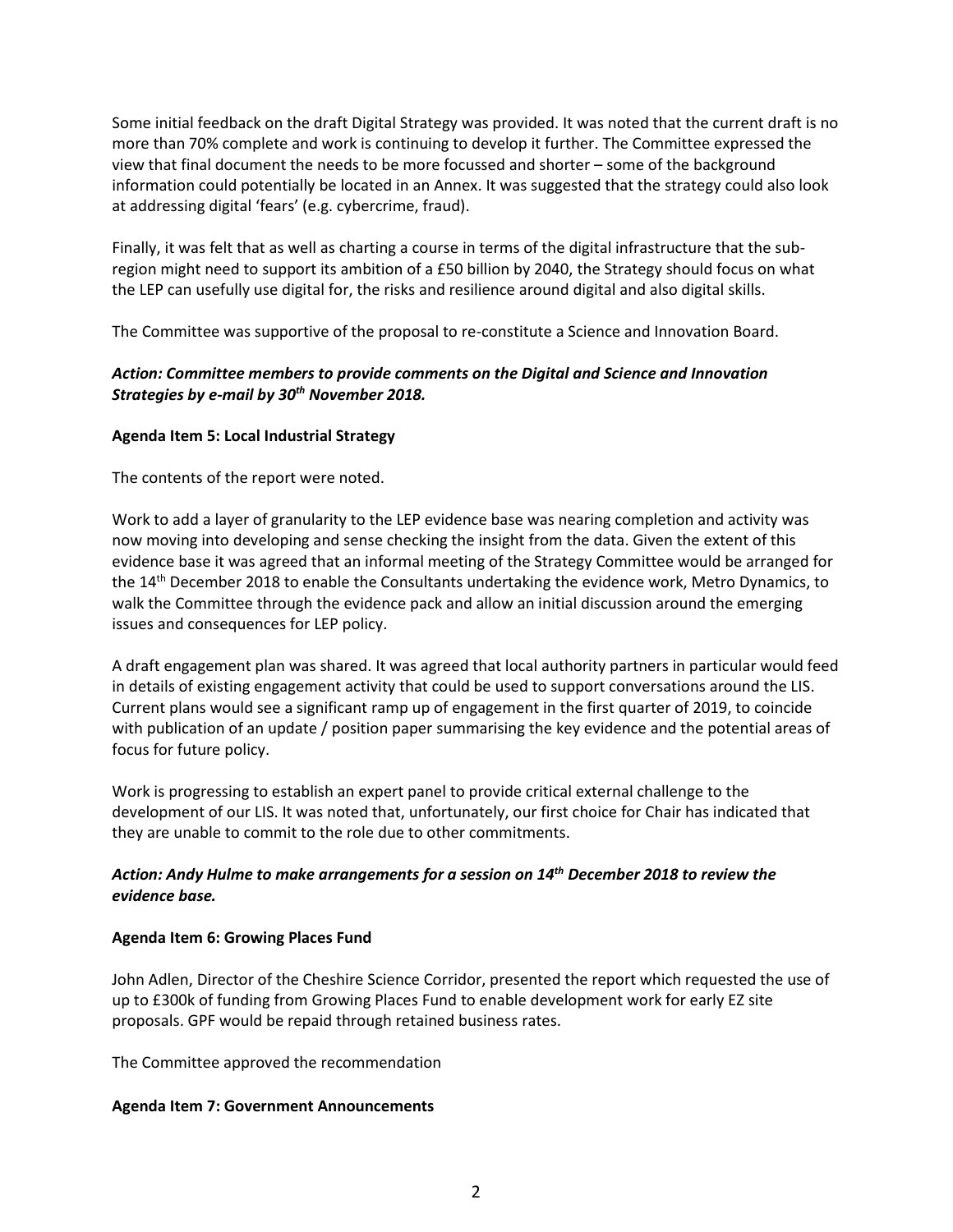Some initial feedback on the draft Digital Strategy was provided. It was noted that the current draft is no more than 70% complete and work is continuing to develop it further. The Committee expressed the view that final document the needs to be more focussed and shorter – some of the background information could potentially be located in an Annex. It was suggested that the strategy could also look at addressing digital 'fears' (e.g. cybercrime, fraud).

Finally, it was felt that as well as charting a course in terms of the digital infrastructure that the subregion might need to support its ambition of a £50 billion by 2040, the Strategy should focus on what the LEP can usefully use digital for, the risks and resilience around digital and also digital skills.

The Committee was supportive of the proposal to re-constitute a Science and Innovation Board.

## *Action: Committee members to provide comments on the Digital and Science and Innovation Strategies by e-mail by 30th November 2018.*

### **Agenda Item 5: Local Industrial Strategy**

The contents of the report were noted.

Work to add a layer of granularity to the LEP evidence base was nearing completion and activity was now moving into developing and sense checking the insight from the data. Given the extent of this evidence base it was agreed that an informal meeting of the Strategy Committee would be arranged for the 14<sup>th</sup> December 2018 to enable the Consultants undertaking the evidence work, Metro Dynamics, to walk the Committee through the evidence pack and allow an initial discussion around the emerging issues and consequences for LEP policy.

A draft engagement plan was shared. It was agreed that local authority partners in particular would feed in details of existing engagement activity that could be used to support conversations around the LIS. Current plans would see a significant ramp up of engagement in the first quarter of 2019, to coincide with publication of an update / position paper summarising the key evidence and the potential areas of focus for future policy.

Work is progressing to establish an expert panel to provide critical external challenge to the development of our LIS. It was noted that, unfortunately, our first choice for Chair has indicated that they are unable to commit to the role due to other commitments.

## *Action: Andy Hulme to make arrangements for a session on 14th December 2018 to review the evidence base.*

### **Agenda Item 6: Growing Places Fund**

John Adlen, Director of the Cheshire Science Corridor, presented the report which requested the use of up to £300k of funding from Growing Places Fund to enable development work for early EZ site proposals. GPF would be repaid through retained business rates.

The Committee approved the recommendation

### **Agenda Item 7: Government Announcements**